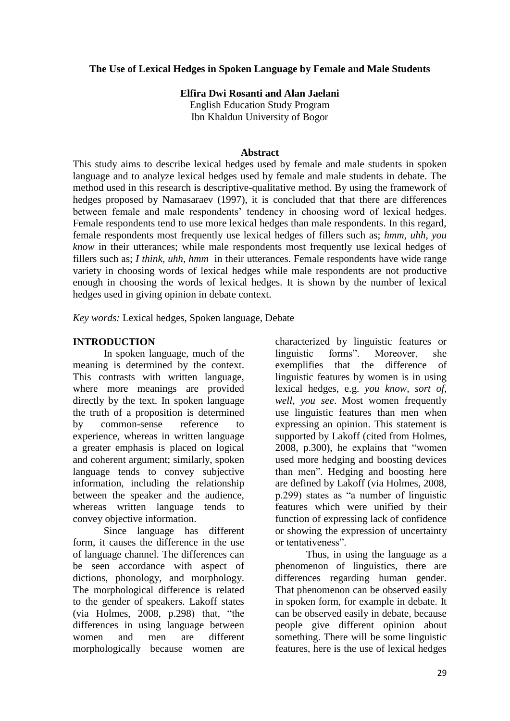## **The Use of Lexical Hedges in Spoken Language by Female and Male Students**

**Elfira Dwi Rosanti and Alan Jaelani**

English Education Study Program Ibn Khaldun University of Bogor

### **Abstract**

This study aims to describe lexical hedges used by female and male students in spoken language and to analyze lexical hedges used by female and male students in debate. The method used in this research is descriptive-qualitative method. By using the framework of hedges proposed by Namasaraev (1997), it is concluded that that there are differences between female and male respondents' tendency in choosing word of lexical hedges. Female respondents tend to use more lexical hedges than male respondents. In this regard, female respondents most frequently use lexical hedges of fillers such as; *hmm, uhh, you know* in their utterances; while male respondents most frequently use lexical hedges of fillers such as; *I think, uhh, hmm* in their utterances. Female respondents have wide range variety in choosing words of lexical hedges while male respondents are not productive enough in choosing the words of lexical hedges. It is shown by the number of lexical hedges used in giving opinion in debate context.

*Key words:* Lexical hedges, Spoken language, Debate

## **INTRODUCTION**

In spoken language, much of the meaning is determined by the context. This contrasts with written language, where more meanings are provided directly by the text. In spoken language the truth of a proposition is determined by common-sense reference to experience, whereas in written language a greater emphasis is placed on logical and coherent argument; similarly, spoken language tends to convey subjective information, including the relationship between the speaker and the audience, whereas written language tends to convey objective information.

Since language has different form, it causes the difference in the use of language channel. The differences can be seen accordance with aspect of dictions, phonology, and morphology. The morphological difference is related to the gender of speakers. Lakoff states (via Holmes, 2008, p.298) that, "the differences in using language between women and men are different morphologically because women are

characterized by linguistic features or linguistic forms". Moreover, she exemplifies that the difference of linguistic features by women is in using lexical hedges, e.g. *you know, sort of, well, you see*. Most women frequently use linguistic features than men when expressing an opinion. This statement is supported by Lakoff (cited from Holmes, 2008, p.300), he explains that "women used more hedging and boosting devices than men". Hedging and boosting here are defined by Lakoff (via Holmes, 2008, p.299) states as "a number of linguistic features which were unified by their function of expressing lack of confidence or showing the expression of uncertainty or tentativeness".

Thus, in using the language as a phenomenon of linguistics, there are differences regarding human gender. That phenomenon can be observed easily in spoken form, for example in debate. It can be observed easily in debate, because people give different opinion about something. There will be some linguistic features, here is the use of lexical hedges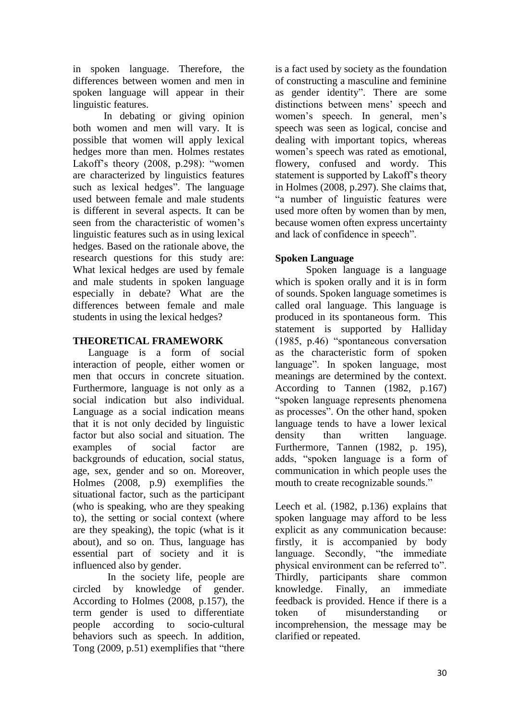in spoken language. Therefore, the differences between women and men in spoken language will appear in their linguistic features.

In debating or giving opinion both women and men will vary. It is possible that women will apply lexical hedges more than men. Holmes restates Lakoff's theory (2008, p.298): "women are characterized by linguistics features such as lexical hedges". The language used between female and male students is different in several aspects. It can be seen from the characteristic of women's linguistic features such as in using lexical hedges. Based on the rationale above, the research questions for this study are: What lexical hedges are used by female and male students in spoken language especially in debate? What are the differences between female and male students in using the lexical hedges?

# **THEORETICAL FRAMEWORK**

Language is a form of social interaction of people, either women or men that occurs in concrete situation. Furthermore, language is not only as a social indication but also individual. Language as a social indication means that it is not only decided by linguistic factor but also social and situation. The examples of social factor are backgrounds of education, social status, age, sex, gender and so on. Moreover, Holmes (2008, p.9) exemplifies the situational factor, such as the participant (who is speaking, who are they speaking to), the setting or social context (where are they speaking), the topic (what is it about), and so on. Thus, language has essential part of society and it is influenced also by gender.

In the society life, people are circled by knowledge of gender. According to Holmes (2008, p.157), the term gender is used to differentiate people according to socio-cultural behaviors such as speech. In addition, Tong (2009, p.51) exemplifies that "there

is a fact used by society as the foundation of constructing a masculine and feminine as gender identity". There are some distinctions between mens' speech and women's speech. In general, men's speech was seen as logical, concise and dealing with important topics, whereas women's speech was rated as emotional, flowery, confused and wordy. This statement is supported by Lakoff's theory in Holmes (2008, p.297). She claims that, "a number of linguistic features were used more often by women than by men, because women often express uncertainty and lack of confidence in speech".

# **Spoken Language**

Spoken language is a language which is spoken orally and it is in form of sounds. Spoken language sometimes is called oral language. This language is produced in its spontaneous form. This statement is supported by Halliday (1985, p.46) "spontaneous conversation as the characteristic form of spoken language". In spoken language, most meanings are determined by the context. According to Tannen (1982, p.167) "spoken language represents phenomena as processes". On the other hand, spoken language tends to have a lower lexical density than written language. Furthermore, Tannen (1982, p. 195), adds, "spoken language is a form of communication in which people uses the mouth to create recognizable sounds."

Leech et al. (1982, p.136) explains that spoken language may afford to be less explicit as any communication because: firstly, it is accompanied by body language. Secondly, "the immediate physical environment can be referred to". Thirdly, participants share common knowledge. Finally, an immediate feedback is provided. Hence if there is a token of misunderstanding or incomprehension, the message may be clarified or repeated.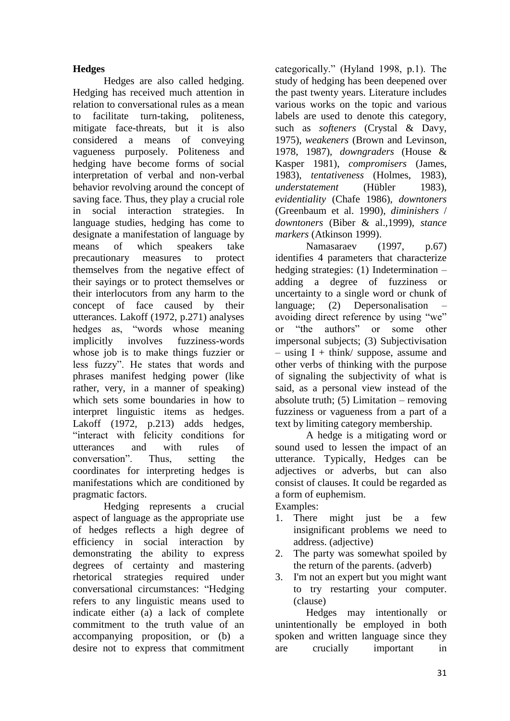## **Hedges**

Hedges are also called hedging. Hedging has received much attention in relation to conversational rules as a mean to facilitate turn-taking, politeness, mitigate face-threats, but it is also considered a means of conveying vagueness purposely. Politeness and hedging have become forms of social interpretation of verbal and non-verbal behavior revolving around the concept of saving face. Thus, they play a crucial role in social interaction strategies. In language studies, hedging has come to designate a manifestation of language by means of which speakers take precautionary measures to protect themselves from the negative effect of their sayings or to protect themselves or their interlocutors from any harm to the concept of face caused by their utterances. Lakoff (1972, p.271) analyses hedges as, "words whose meaning implicitly involves fuzziness-words whose job is to make things fuzzier or less fuzzy". He states that words and phrases manifest hedging power (like rather, very, in a manner of speaking) which sets some boundaries in how to interpret linguistic items as hedges. Lakoff (1972, p.213) adds hedges, "interact with felicity conditions for utterances and with rules of conversation". Thus, setting the coordinates for interpreting hedges is manifestations which are conditioned by pragmatic factors.

Hedging represents a crucial aspect of language as the appropriate use of hedges reflects a high degree of efficiency in social interaction by demonstrating the ability to express degrees of certainty and mastering rhetorical strategies required under conversational circumstances: "Hedging refers to any linguistic means used to indicate either (a) a lack of complete commitment to the truth value of an accompanying proposition, or (b) a desire not to express that commitment categorically." (Hyland 1998, p.1). The study of hedging has been deepened over the past twenty years. Literature includes various works on the topic and various labels are used to denote this category, such as *softeners* (Crystal & Davy, 1975), *weakeners* (Brown and Levinson, 1978, 1987), *downgraders* (House & Kasper 1981), *compromisers* (James, 1983), *tentativeness* (Holmes, 1983), *understatement* (Hübler 1983), *evidentiality* (Chafe 1986), *downtoners* (Greenbaum et al. 1990), *diminishers* / *downtoners* (Biber & al.,1999), *stance markers* (Atkinson 1999).

Namasaraev (1997, p.67) identifies 4 parameters that characterize hedging strategies: (1) Indetermination – adding a degree of fuzziness or uncertainty to a single word or chunk of language; (2) Depersonalisation – avoiding direct reference by using "we" or "the authors" or some other impersonal subjects; (3) Subjectivisation  $-$  using I + think/ suppose, assume and other verbs of thinking with the purpose of signaling the subjectivity of what is said, as a personal view instead of the absolute truth; (5) Limitation – removing fuzziness or vagueness from a part of a text by limiting category membership.

A hedge is a mitigating word or sound used to lessen the impact of an utterance. Typically, Hedges can be adjectives or adverbs, but can also consist of clauses. It could be regarded as a form of euphemism.

Examples:

- 1. There might just be a few insignificant problems we need to address. (adjective)
- 2. The party was somewhat spoiled by the return of the parents. (adverb)
- 3. I'm not an expert but you might want to try restarting your computer. (clause)

Hedges may intentionally or unintentionally be employed in both spoken and written language since they are crucially important in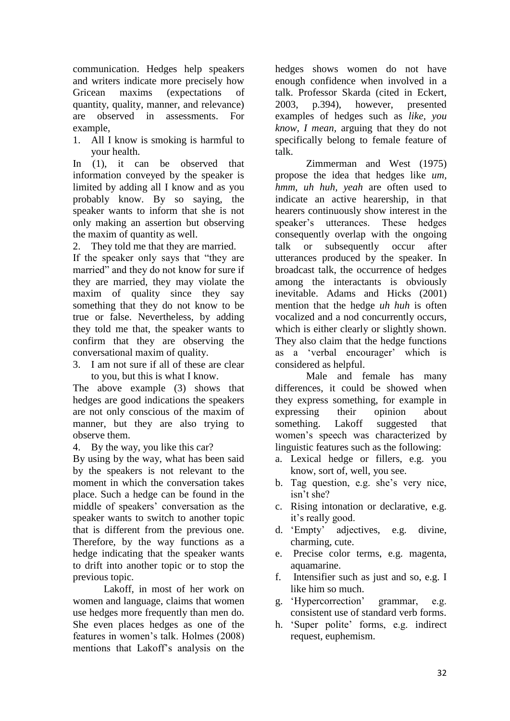communication. Hedges help speakers and writers indicate more precisely how Gricean maxims (expectations of quantity, quality, manner, and relevance) are observed in assessments. For example,

1. All I know is smoking is harmful to your health.

In (1), it can be observed that information conveyed by the speaker is limited by adding all I know and as you probably know. By so saying, the speaker wants to inform that she is not only making an assertion but observing the maxim of quantity as well.

2. They told me that they are married.

If the speaker only says that "they are married" and they do not know for sure if they are married, they may violate the maxim of quality since they say something that they do not know to be true or false. Nevertheless, by adding they told me that, the speaker wants to confirm that they are observing the conversational maxim of quality.

3. I am not sure if all of these are clear to you, but this is what I know.

The above example (3) shows that hedges are good indications the speakers are not only conscious of the maxim of manner, but they are also trying to observe them.

4. By the way, you like this car?

By using by the way, what has been said by the speakers is not relevant to the moment in which the conversation takes place. Such a hedge can be found in the middle of speakers' conversation as the speaker wants to switch to another topic that is different from the previous one. Therefore, by the way functions as a hedge indicating that the speaker wants to drift into another topic or to stop the previous topic.

Lakoff, in most of her work on women and language, claims that women use hedges more frequently than men do. She even places hedges as one of the features in women's talk. Holmes (2008) mentions that Lakoff's analysis on the

hedges shows women do not have enough confidence when involved in a talk. Professor Skarda (cited in Eckert, 2003, p.394), however, presented examples of hedges such as *like, you know, I mean,* arguing that they do not specifically belong to female feature of talk.

Zimmerman and West (1975) propose the idea that hedges like *um, hmm, uh huh, yeah* are often used to indicate an active hearership, in that hearers continuously show interest in the speaker's utterances. These hedges consequently overlap with the ongoing talk or subsequently occur after utterances produced by the speaker. In broadcast talk, the occurrence of hedges among the interactants is obviously inevitable. Adams and Hicks (2001) mention that the hedge *uh huh* is often vocalized and a nod concurrently occurs, which is either clearly or slightly shown. They also claim that the hedge functions as a 'verbal encourager' which is considered as helpful.

Male and female has many differences, it could be showed when they express something, for example in expressing their opinion about something. Lakoff suggested that women's speech was characterized by linguistic features such as the following:

- a. Lexical hedge or fillers, e.g. you know, sort of, well, you see.
- b. Tag question, e.g. she's very nice, isn't she?
- c. Rising intonation or declarative, e.g. it's really good.
- d. 'Empty' adjectives, e.g. divine, charming, cute.
- e. Precise color terms, e.g. magenta, aquamarine.
- f. Intensifier such as just and so, e.g. I like him so much.
- g. 'Hypercorrection' grammar, e.g. consistent use of standard verb forms.
- h. 'Super polite' forms, e.g. indirect request, euphemism.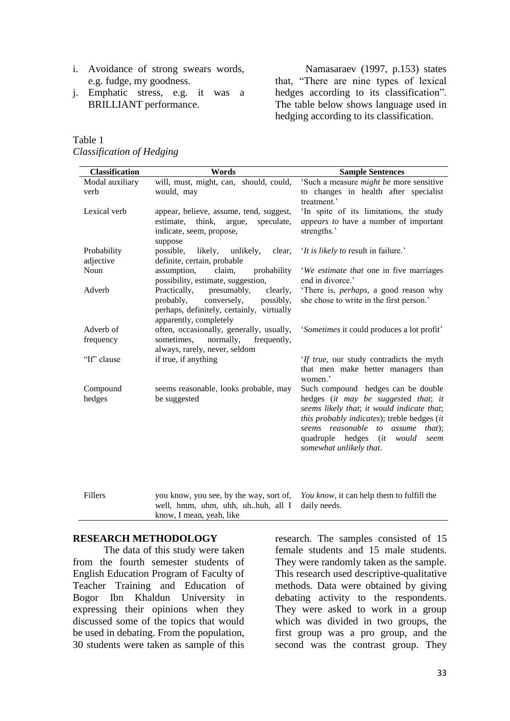- i. Avoidance of strong swears words, e.g. fudge, my goodness.
- j. Emphatic stress, e.g. it was a BRILLIANT performance.

Namasaraev (1997, p.153) states that, "There are nine types of lexical hedges according to its classification". The table below shows language used in hedging according to its classification.

# Table 1 *Classification of Hedging*

| will, must, might, can, should, could,<br>'Such a measure <i>might be</i> more sensitive<br>Modal auxiliary<br>to changes in health after specialist<br>would, may<br>verb<br>treatment.'<br>'In spite of its limitations, the study<br>Lexical verb<br>appear, believe, assume, tend, suggest,<br>appears to have a number of important<br>estimate,<br>think,<br>argue,<br>speculate,<br>strengths.'<br>indicate, seem, propose,<br>suppose<br>Probability<br>possible,<br>likely,<br>unlikely,<br>'It is likely to result in failure.'<br>clear,<br>definite, certain, probable<br>adjective<br>Noun<br>assumption,<br>claim,<br>probability<br>'We estimate that one in five marriages<br>possibility, estimate, suggestion,<br>end in divorce.'<br>There is, <i>perhaps</i> , a good reason why<br>Adverb<br>Practically,<br>presumably,<br>clearly,<br>she chose to write in the first person.'<br>probably,<br>conversely,<br>possibly,<br>perhaps, definitely, certainly, virtually<br>apparently, completely<br>often, occasionally, generally, usually,<br>Adverb of<br>'Sometimes it could produces a lot profit'<br>frequency<br>sometimes,<br>normally,<br>frequently,<br>always, rarely, never, seldom<br>"If" clause<br>if true, if anything<br>'If true, our study contradicts the myth<br>that men make better managers than<br>women.'<br>Such compound hedges can be double<br>Compound<br>seems reasonable, looks probable, may<br>hedges (it may be suggested that; it<br>hedges<br>be suggested<br>seems likely that; it would indicate that;<br>this probably indicates); treble hedges (it<br>seems reasonable to assume<br>that);<br>quadruple hedges (it would<br>seem<br>somewhat unlikely that.<br>Fillers<br>you know, you see, by the way, sort of,<br>You know, it can help them to fulfill the<br>well, hmm, uhm, uhh, uhhuh, all I<br>daily needs. | <b>Classification</b> | Words                    | <b>Sample Sentences</b> |
|-------------------------------------------------------------------------------------------------------------------------------------------------------------------------------------------------------------------------------------------------------------------------------------------------------------------------------------------------------------------------------------------------------------------------------------------------------------------------------------------------------------------------------------------------------------------------------------------------------------------------------------------------------------------------------------------------------------------------------------------------------------------------------------------------------------------------------------------------------------------------------------------------------------------------------------------------------------------------------------------------------------------------------------------------------------------------------------------------------------------------------------------------------------------------------------------------------------------------------------------------------------------------------------------------------------------------------------------------------------------------------------------------------------------------------------------------------------------------------------------------------------------------------------------------------------------------------------------------------------------------------------------------------------------------------------------------------------------------------------------------------------------------------------------------------------------------------------------------------------------------------------|-----------------------|--------------------------|-------------------------|
|                                                                                                                                                                                                                                                                                                                                                                                                                                                                                                                                                                                                                                                                                                                                                                                                                                                                                                                                                                                                                                                                                                                                                                                                                                                                                                                                                                                                                                                                                                                                                                                                                                                                                                                                                                                                                                                                                     |                       |                          |                         |
|                                                                                                                                                                                                                                                                                                                                                                                                                                                                                                                                                                                                                                                                                                                                                                                                                                                                                                                                                                                                                                                                                                                                                                                                                                                                                                                                                                                                                                                                                                                                                                                                                                                                                                                                                                                                                                                                                     |                       |                          |                         |
|                                                                                                                                                                                                                                                                                                                                                                                                                                                                                                                                                                                                                                                                                                                                                                                                                                                                                                                                                                                                                                                                                                                                                                                                                                                                                                                                                                                                                                                                                                                                                                                                                                                                                                                                                                                                                                                                                     |                       |                          |                         |
|                                                                                                                                                                                                                                                                                                                                                                                                                                                                                                                                                                                                                                                                                                                                                                                                                                                                                                                                                                                                                                                                                                                                                                                                                                                                                                                                                                                                                                                                                                                                                                                                                                                                                                                                                                                                                                                                                     |                       |                          |                         |
|                                                                                                                                                                                                                                                                                                                                                                                                                                                                                                                                                                                                                                                                                                                                                                                                                                                                                                                                                                                                                                                                                                                                                                                                                                                                                                                                                                                                                                                                                                                                                                                                                                                                                                                                                                                                                                                                                     |                       |                          |                         |
|                                                                                                                                                                                                                                                                                                                                                                                                                                                                                                                                                                                                                                                                                                                                                                                                                                                                                                                                                                                                                                                                                                                                                                                                                                                                                                                                                                                                                                                                                                                                                                                                                                                                                                                                                                                                                                                                                     |                       |                          |                         |
|                                                                                                                                                                                                                                                                                                                                                                                                                                                                                                                                                                                                                                                                                                                                                                                                                                                                                                                                                                                                                                                                                                                                                                                                                                                                                                                                                                                                                                                                                                                                                                                                                                                                                                                                                                                                                                                                                     |                       |                          |                         |
|                                                                                                                                                                                                                                                                                                                                                                                                                                                                                                                                                                                                                                                                                                                                                                                                                                                                                                                                                                                                                                                                                                                                                                                                                                                                                                                                                                                                                                                                                                                                                                                                                                                                                                                                                                                                                                                                                     |                       |                          |                         |
|                                                                                                                                                                                                                                                                                                                                                                                                                                                                                                                                                                                                                                                                                                                                                                                                                                                                                                                                                                                                                                                                                                                                                                                                                                                                                                                                                                                                                                                                                                                                                                                                                                                                                                                                                                                                                                                                                     |                       |                          |                         |
|                                                                                                                                                                                                                                                                                                                                                                                                                                                                                                                                                                                                                                                                                                                                                                                                                                                                                                                                                                                                                                                                                                                                                                                                                                                                                                                                                                                                                                                                                                                                                                                                                                                                                                                                                                                                                                                                                     |                       |                          |                         |
|                                                                                                                                                                                                                                                                                                                                                                                                                                                                                                                                                                                                                                                                                                                                                                                                                                                                                                                                                                                                                                                                                                                                                                                                                                                                                                                                                                                                                                                                                                                                                                                                                                                                                                                                                                                                                                                                                     |                       |                          |                         |
|                                                                                                                                                                                                                                                                                                                                                                                                                                                                                                                                                                                                                                                                                                                                                                                                                                                                                                                                                                                                                                                                                                                                                                                                                                                                                                                                                                                                                                                                                                                                                                                                                                                                                                                                                                                                                                                                                     |                       |                          |                         |
|                                                                                                                                                                                                                                                                                                                                                                                                                                                                                                                                                                                                                                                                                                                                                                                                                                                                                                                                                                                                                                                                                                                                                                                                                                                                                                                                                                                                                                                                                                                                                                                                                                                                                                                                                                                                                                                                                     |                       |                          |                         |
|                                                                                                                                                                                                                                                                                                                                                                                                                                                                                                                                                                                                                                                                                                                                                                                                                                                                                                                                                                                                                                                                                                                                                                                                                                                                                                                                                                                                                                                                                                                                                                                                                                                                                                                                                                                                                                                                                     |                       |                          |                         |
|                                                                                                                                                                                                                                                                                                                                                                                                                                                                                                                                                                                                                                                                                                                                                                                                                                                                                                                                                                                                                                                                                                                                                                                                                                                                                                                                                                                                                                                                                                                                                                                                                                                                                                                                                                                                                                                                                     |                       |                          |                         |
|                                                                                                                                                                                                                                                                                                                                                                                                                                                                                                                                                                                                                                                                                                                                                                                                                                                                                                                                                                                                                                                                                                                                                                                                                                                                                                                                                                                                                                                                                                                                                                                                                                                                                                                                                                                                                                                                                     |                       |                          |                         |
|                                                                                                                                                                                                                                                                                                                                                                                                                                                                                                                                                                                                                                                                                                                                                                                                                                                                                                                                                                                                                                                                                                                                                                                                                                                                                                                                                                                                                                                                                                                                                                                                                                                                                                                                                                                                                                                                                     |                       |                          |                         |
|                                                                                                                                                                                                                                                                                                                                                                                                                                                                                                                                                                                                                                                                                                                                                                                                                                                                                                                                                                                                                                                                                                                                                                                                                                                                                                                                                                                                                                                                                                                                                                                                                                                                                                                                                                                                                                                                                     |                       |                          |                         |
|                                                                                                                                                                                                                                                                                                                                                                                                                                                                                                                                                                                                                                                                                                                                                                                                                                                                                                                                                                                                                                                                                                                                                                                                                                                                                                                                                                                                                                                                                                                                                                                                                                                                                                                                                                                                                                                                                     |                       |                          |                         |
|                                                                                                                                                                                                                                                                                                                                                                                                                                                                                                                                                                                                                                                                                                                                                                                                                                                                                                                                                                                                                                                                                                                                                                                                                                                                                                                                                                                                                                                                                                                                                                                                                                                                                                                                                                                                                                                                                     |                       |                          |                         |
|                                                                                                                                                                                                                                                                                                                                                                                                                                                                                                                                                                                                                                                                                                                                                                                                                                                                                                                                                                                                                                                                                                                                                                                                                                                                                                                                                                                                                                                                                                                                                                                                                                                                                                                                                                                                                                                                                     |                       |                          |                         |
|                                                                                                                                                                                                                                                                                                                                                                                                                                                                                                                                                                                                                                                                                                                                                                                                                                                                                                                                                                                                                                                                                                                                                                                                                                                                                                                                                                                                                                                                                                                                                                                                                                                                                                                                                                                                                                                                                     |                       |                          |                         |
|                                                                                                                                                                                                                                                                                                                                                                                                                                                                                                                                                                                                                                                                                                                                                                                                                                                                                                                                                                                                                                                                                                                                                                                                                                                                                                                                                                                                                                                                                                                                                                                                                                                                                                                                                                                                                                                                                     |                       |                          |                         |
|                                                                                                                                                                                                                                                                                                                                                                                                                                                                                                                                                                                                                                                                                                                                                                                                                                                                                                                                                                                                                                                                                                                                                                                                                                                                                                                                                                                                                                                                                                                                                                                                                                                                                                                                                                                                                                                                                     |                       |                          |                         |
|                                                                                                                                                                                                                                                                                                                                                                                                                                                                                                                                                                                                                                                                                                                                                                                                                                                                                                                                                                                                                                                                                                                                                                                                                                                                                                                                                                                                                                                                                                                                                                                                                                                                                                                                                                                                                                                                                     |                       |                          |                         |
|                                                                                                                                                                                                                                                                                                                                                                                                                                                                                                                                                                                                                                                                                                                                                                                                                                                                                                                                                                                                                                                                                                                                                                                                                                                                                                                                                                                                                                                                                                                                                                                                                                                                                                                                                                                                                                                                                     |                       |                          |                         |
|                                                                                                                                                                                                                                                                                                                                                                                                                                                                                                                                                                                                                                                                                                                                                                                                                                                                                                                                                                                                                                                                                                                                                                                                                                                                                                                                                                                                                                                                                                                                                                                                                                                                                                                                                                                                                                                                                     |                       |                          |                         |
|                                                                                                                                                                                                                                                                                                                                                                                                                                                                                                                                                                                                                                                                                                                                                                                                                                                                                                                                                                                                                                                                                                                                                                                                                                                                                                                                                                                                                                                                                                                                                                                                                                                                                                                                                                                                                                                                                     |                       |                          |                         |
|                                                                                                                                                                                                                                                                                                                                                                                                                                                                                                                                                                                                                                                                                                                                                                                                                                                                                                                                                                                                                                                                                                                                                                                                                                                                                                                                                                                                                                                                                                                                                                                                                                                                                                                                                                                                                                                                                     |                       |                          |                         |
|                                                                                                                                                                                                                                                                                                                                                                                                                                                                                                                                                                                                                                                                                                                                                                                                                                                                                                                                                                                                                                                                                                                                                                                                                                                                                                                                                                                                                                                                                                                                                                                                                                                                                                                                                                                                                                                                                     |                       | know, I mean, yeah, like |                         |

#### **RESEARCH METHODOLOGY**

The data of this study were taken from the fourth semester students of English Education Program of Faculty of Teacher Training and Education of Bogor Ibn Khaldun University in expressing their opinions when they discussed some of the topics that would be used in debating. From the population, 30 students were taken as sample of this research. The samples consisted of 15 female students and 15 male students. They were randomly taken as the sample. This research used descriptive-qualitative methods. Data were obtained by giving debating activity to the respondents. They were asked to work in a group which was divided in two groups, the first group was a pro group, and the second was the contrast group. They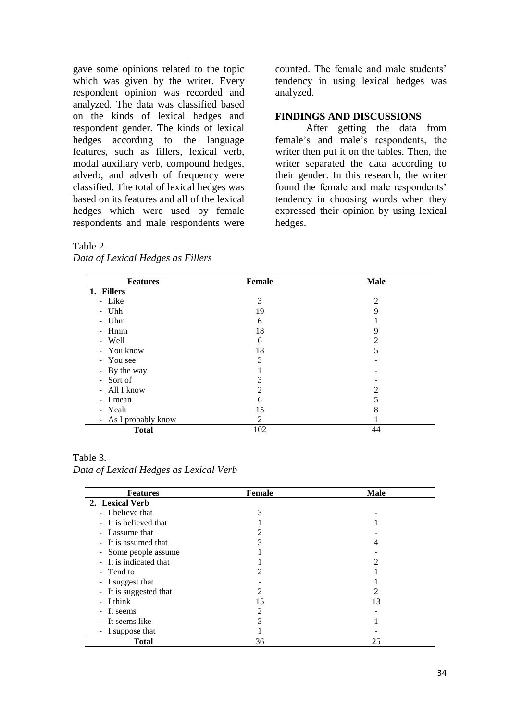gave some opinions related to the topic which was given by the writer. Every respondent opinion was recorded and analyzed. The data was classified based on the kinds of lexical hedges and respondent gender. The kinds of lexical hedges according to the language features, such as fillers, lexical verb, modal auxiliary verb, compound hedges, adverb, and adverb of frequency were classified. The total of lexical hedges was based on its features and all of the lexical hedges which were used by female respondents and male respondents were

## counted. The female and male students' tendency in using lexical hedges was analyzed.

### **FINDINGS AND DISCUSSIONS**

After getting the data from female's and male's respondents, the writer then put it on the tables. Then, the writer separated the data according to their gender. In this research, the writer found the female and male respondents' tendency in choosing words when they expressed their opinion by using lexical hedges.

#### Table 2.

| Data of Lexical Hedges as Fillers |
|-----------------------------------|
|                                   |

| <b>Features</b>       | <b>Female</b> | <b>Male</b> |
|-----------------------|---------------|-------------|
| 1. Fillers            |               |             |
| - Like                | 3             | っ           |
| - Uhh                 | 19            | Q           |
| Uhm<br>$\blacksquare$ | 6             |             |
| - Hmm                 | 18            |             |
| - Well                | 6             |             |
| - You know            | 18            |             |
| - You see             | 3             |             |
| - By the way          |               |             |
| - Sort of             |               |             |
| - All I know          |               |             |
| - I mean              | 6             |             |
| - Yeah                | 15            | δ           |
| - As I probably know  | 2             |             |
| <b>Total</b>          | 102           | 44          |

#### Table 3.

*Data of Lexical Hedges as Lexical Verb*

| <b>Features</b>        | Female | <b>Male</b> |
|------------------------|--------|-------------|
| 2. Lexical Verb        |        |             |
| - I believe that       |        |             |
| - It is believed that  |        |             |
| - I assume that        |        |             |
| - It is assumed that   |        |             |
| - Some people assume   |        |             |
| - It is indicated that |        |             |
| - Tend to              | 2      |             |
| - I suggest that       |        |             |
| - It is suggested that |        |             |
| $-I$ think             | 15     | 13          |
| - It seems             | っ      |             |
| - It seems like        |        |             |
| - I suppose that       |        |             |
| <b>Total</b>           | 36     | 25          |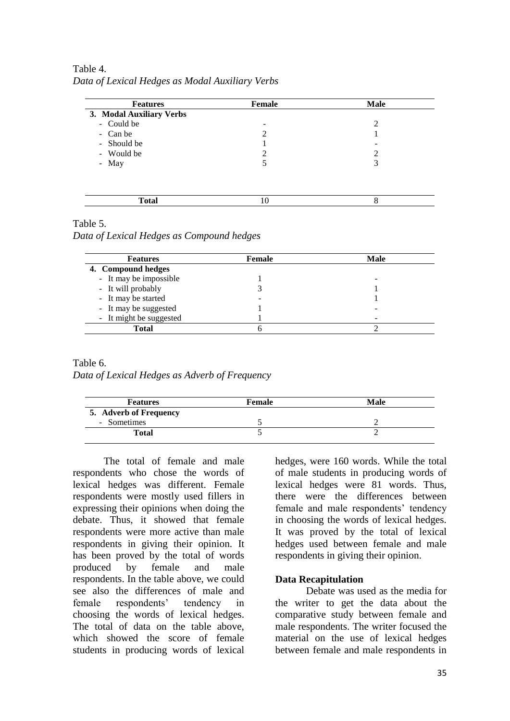Table 4. *Data of Lexical Hedges as Modal Auxiliary Verbs*

| <b>Features</b>          | <b>Female</b> | <b>Male</b> |
|--------------------------|---------------|-------------|
| 3. Modal Auxiliary Verbs |               |             |
| - Could be               | ۰             | 2           |
| - Can be                 | 2             |             |
| - Should be              |               |             |
| - Would be               | 2             |             |
| - May                    |               | 3           |
|                          |               |             |
| <b>Total</b>             | 10            | 8           |

### Table 5.

*Data of Lexical Hedges as Compound hedges*

| <b>Features</b>         | <b>Female</b> | Male |
|-------------------------|---------------|------|
| 4. Compound hedges      |               |      |
| - It may be impossible  |               |      |
| - It will probably      |               |      |
| - It may be started     |               |      |
| - It may be suggested   |               |      |
| - It might be suggested |               |      |
| Total                   |               |      |

## Table 6.

*Data of Lexical Hedges as Adverb of Frequency*

| <b>Features</b>        | Female | Male |
|------------------------|--------|------|
| 5. Adverb of Frequency |        |      |
| - Sometimes            |        |      |
| Total                  |        |      |

The total of female and male respondents who chose the words of lexical hedges was different. Female respondents were mostly used fillers in expressing their opinions when doing the debate. Thus, it showed that female respondents were more active than male respondents in giving their opinion. It has been proved by the total of words produced by female and male respondents. In the table above, we could see also the differences of male and female respondents' tendency in choosing the words of lexical hedges. The total of data on the table above, which showed the score of female students in producing words of lexical hedges, were 160 words. While the total of male students in producing words of lexical hedges were 81 words. Thus, there were the differences between female and male respondents' tendency in choosing the words of lexical hedges. It was proved by the total of lexical hedges used between female and male respondents in giving their opinion.

### **Data Recapitulation**

Debate was used as the media for the writer to get the data about the comparative study between female and male respondents. The writer focused the material on the use of lexical hedges between female and male respondents in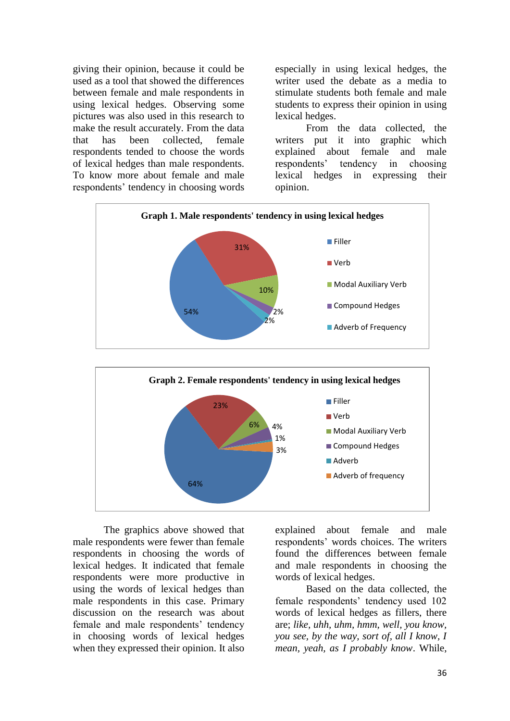giving their opinion, because it could be used as a tool that showed the differences between female and male respondents in using lexical hedges. Observing some pictures was also used in this research to make the result accurately. From the data that has been collected, female respondents tended to choose the words of lexical hedges than male respondents. To know more about female and male respondents' tendency in choosing words

especially in using lexical hedges, the writer used the debate as a media to stimulate students both female and male students to express their opinion in using lexical hedges.

From the data collected, the writers put it into graphic which explained about female and male respondents' tendency in choosing lexical hedges in expressing their opinion.



The graphics above showed that male respondents were fewer than female respondents in choosing the words of lexical hedges. It indicated that female respondents were more productive in using the words of lexical hedges than male respondents in this case. Primary discussion on the research was about female and male respondents' tendency in choosing words of lexical hedges when they expressed their opinion. It also

64%

explained about female and male respondents' words choices. The writers found the differences between female and male respondents in choosing the words of lexical hedges.

Adverb of frequency

Based on the data collected, the female respondents' tendency used 102 words of lexical hedges as fillers, there are; *like, uhh, uhm, hmm, well, you know, you see, by the way, sort of, all I know, I mean, yeah, as I probably know*. While,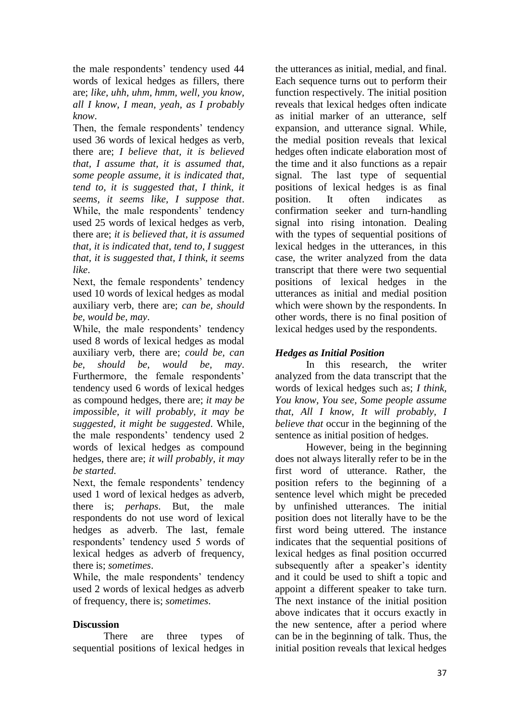the male respondents' tendency used 44 words of lexical hedges as fillers, there are; *like, uhh, uhm, hmm, well, you know, all I know, I mean, yeah, as I probably know*.

Then, the female respondents' tendency used 36 words of lexical hedges as verb, there are; *I believe that, it is believed that, I assume that, it is assumed that, some people assume, it is indicated that, tend to, it is suggested that, I think, it seems, it seems like, I suppose that*. While, the male respondents' tendency used 25 words of lexical hedges as verb, there are; *it is believed that, it is assumed that, it is indicated that, tend to, I suggest that, it is suggested that, I think, it seems like*.

Next, the female respondents' tendency used 10 words of lexical hedges as modal auxiliary verb, there are; *can be, should be, would be, may*.

While, the male respondents' tendency used 8 words of lexical hedges as modal auxiliary verb, there are; *could be, can be, should be, would be, may*. Furthermore, the female respondents' tendency used 6 words of lexical hedges as compound hedges, there are; *it may be impossible, it will probably, it may be suggested, it might be suggested*. While, the male respondents' tendency used 2 words of lexical hedges as compound hedges, there are; *it will probably, it may be started*.

Next, the female respondents' tendency used 1 word of lexical hedges as adverb, there is; *perhaps*. But, the male respondents do not use word of lexical hedges as adverb. The last, female respondents' tendency used 5 words of lexical hedges as adverb of frequency, there is; *sometimes*.

While, the male respondents' tendency used 2 words of lexical hedges as adverb of frequency, there is; *sometimes*.

## **Discussion**

There are three types of sequential positions of lexical hedges in

the utterances as initial, medial, and final. Each sequence turns out to perform their function respectively. The initial position reveals that lexical hedges often indicate as initial marker of an utterance, self expansion, and utterance signal. While, the medial position reveals that lexical hedges often indicate elaboration most of the time and it also functions as a repair signal. The last type of sequential positions of lexical hedges is as final position. It often indicates as confirmation seeker and turn-handling signal into rising intonation. Dealing with the types of sequential positions of lexical hedges in the utterances, in this case, the writer analyzed from the data transcript that there were two sequential positions of lexical hedges in the utterances as initial and medial position which were shown by the respondents. In other words, there is no final position of lexical hedges used by the respondents.

## *Hedges as Initial Position*

In this research, the writer analyzed from the data transcript that the words of lexical hedges such as; *I think, You know, You see, Some people assume that, All I know, It will probably, I believe that* occur in the beginning of the sentence as initial position of hedges.

However, being in the beginning does not always literally refer to be in the first word of utterance. Rather, the position refers to the beginning of a sentence level which might be preceded by unfinished utterances. The initial position does not literally have to be the first word being uttered. The instance indicates that the sequential positions of lexical hedges as final position occurred subsequently after a speaker's identity and it could be used to shift a topic and appoint a different speaker to take turn. The next instance of the initial position above indicates that it occurs exactly in the new sentence, after a period where can be in the beginning of talk. Thus, the initial position reveals that lexical hedges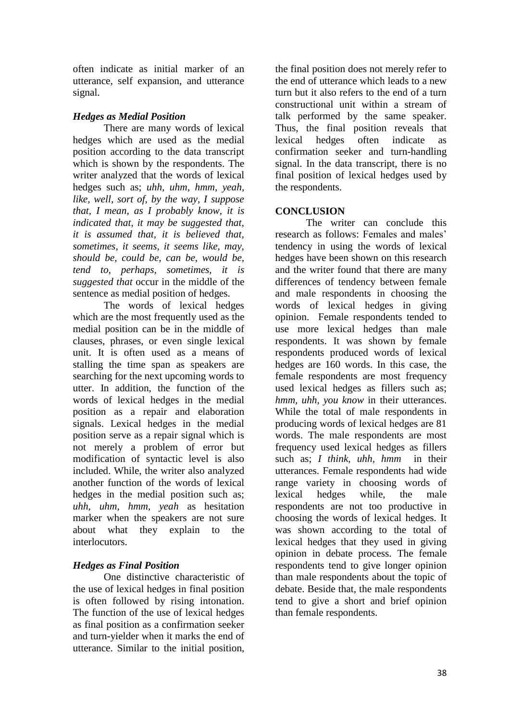often indicate as initial marker of an utterance, self expansion, and utterance signal.

# *Hedges as Medial Position*

There are many words of lexical hedges which are used as the medial position according to the data transcript which is shown by the respondents. The writer analyzed that the words of lexical hedges such as; *uhh, uhm, hmm, yeah, like, well, sort of, by the way, I suppose that, I mean, as I probably know, it is indicated that, it may be suggested that, it is assumed that, it is believed that, sometimes, it seems, it seems like, may, should be, could be, can be, would be, tend to, perhaps, sometimes, it is suggested that* occur in the middle of the sentence as medial position of hedges.

The words of lexical hedges which are the most frequently used as the medial position can be in the middle of clauses, phrases, or even single lexical unit. It is often used as a means of stalling the time span as speakers are searching for the next upcoming words to utter. In addition, the function of the words of lexical hedges in the medial position as a repair and elaboration signals. Lexical hedges in the medial position serve as a repair signal which is not merely a problem of error but modification of syntactic level is also included. While, the writer also analyzed another function of the words of lexical hedges in the medial position such as; *uhh, uhm, hmm, yeah* as hesitation marker when the speakers are not sure about what they explain to the interlocutors.

# *Hedges as Final Position*

One distinctive characteristic of the use of lexical hedges in final position is often followed by rising intonation. The function of the use of lexical hedges as final position as a confirmation seeker and turn-yielder when it marks the end of utterance. Similar to the initial position,

the final position does not merely refer to the end of utterance which leads to a new turn but it also refers to the end of a turn constructional unit within a stream of talk performed by the same speaker. Thus, the final position reveals that lexical hedges often indicate as confirmation seeker and turn-handling signal. In the data transcript, there is no final position of lexical hedges used by the respondents.

## **CONCLUSION**

The writer can conclude this research as follows: Females and males' tendency in using the words of lexical hedges have been shown on this research and the writer found that there are many differences of tendency between female and male respondents in choosing the words of lexical hedges in giving opinion. Female respondents tended to use more lexical hedges than male respondents. It was shown by female respondents produced words of lexical hedges are 160 words. In this case, the female respondents are most frequency used lexical hedges as fillers such as; *hmm, uhh, you know* in their utterances. While the total of male respondents in producing words of lexical hedges are 81 words. The male respondents are most frequency used lexical hedges as fillers such as; *I think, uhh, hmm* in their utterances. Female respondents had wide range variety in choosing words of lexical hedges while, the male respondents are not too productive in choosing the words of lexical hedges. It was shown according to the total of lexical hedges that they used in giving opinion in debate process. The female respondents tend to give longer opinion than male respondents about the topic of debate. Beside that, the male respondents tend to give a short and brief opinion than female respondents.